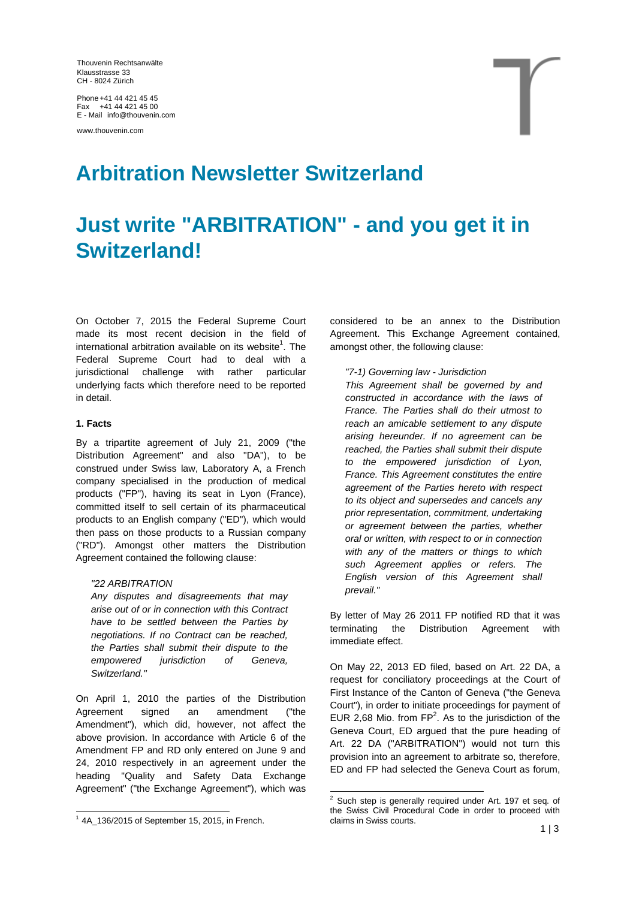Thouvenin Rechtsanwälte Klausstrasse 33 CH - 8024 Zürich

Phone +41 44 421 45 45 Fax +41 44 421 45 00 E - Mail info@thouvenin.com

www.thouvenin.com

## **Arbitration Newsletter Switzerland**

# **Just write "ARBITRATION" - and you get it in Switzerland!**

On October 7, 2015 the Federal Supreme Court made its most recent decision in the field of international arbitration available on its website<sup>1</sup>. The Federal Supreme Court had to deal with a jurisdictional challenge with rather particular underlying facts which therefore need to be reported in detail.

#### **1. Facts**

By a tripartite agreement of July 21, 2009 ("the Distribution Agreement" and also "DA"), to be construed under Swiss law, Laboratory A, a French company specialised in the production of medical products ("FP"), having its seat in Lyon (France), committed itself to sell certain of its pharmaceutical products to an English company ("ED"), which would then pass on those products to a Russian company ("RD"). Amongst other matters the Distribution Agreement contained the following clause:

#### *"22 ARBITRATION*

*Any disputes and disagreements that may arise out of or in connection with this Contract have to be settled between the Parties by negotiations. If no Contract can be reached, the Parties shall submit their dispute to the empowered jurisdiction of Geneva, Switzerland."*

On April 1, 2010 the parties of the Distribution Agreement signed an amendment ("the Amendment"), which did, however, not affect the above provision. In accordance with Article 6 of the Amendment FP and RD only entered on June 9 and 24, 2010 respectively in an agreement under the heading "Quality and Safety Data Exchange Agreement" ("the Exchange Agreement"), which was

considered to be an annex to the Distribution Agreement. This Exchange Agreement contained, amongst other, the following clause:

### *"7-1) Governing law - Jurisdiction*

*This Agreement shall be governed by and constructed in accordance with the laws of France. The Parties shall do their utmost to reach an amicable settlement to any dispute arising hereunder. If no agreement can be reached, the Parties shall submit their dispute to the empowered jurisdiction of Lyon, France. This Agreement constitutes the entire agreement of the Parties hereto with respect to its object and supersedes and cancels any prior representation, commitment, undertaking or agreement between the parties, whether oral or written, with respect to or in connection with any of the matters or things to which such Agreement applies or refers. The English version of this Agreement shall prevail."*

By letter of May 26 2011 FP notified RD that it was terminating the Distribution Agreement with immediate effect.

On May 22, 2013 ED filed, based on Art. 22 DA, a request for conciliatory proceedings at the Court of First Instance of the Canton of Geneva ("the Geneva Court"), in order to initiate proceedings for payment of EUR 2,68 Mio. from  $FP^2$ . As to the jurisdiction of the Geneva Court, ED argued that the pure heading of Art. 22 DA ("ARBITRATION") would not turn this provision into an agreement to arbitrate so, therefore, ED and FP had selected the Geneva Court as forum,

 $1$  4A\_136/2015 of September 15, 2015, in French.

 $2$  Such step is generally required under Art. 197 et seq. of the Swiss Civil Procedural Code in order to proceed with claims in Swiss courts.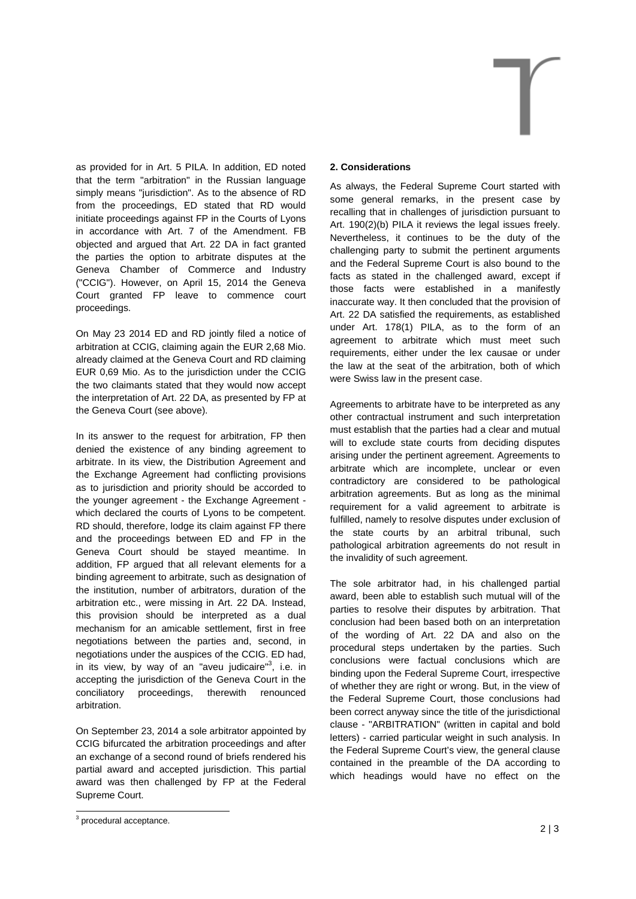

On May 23 2014 ED and RD jointly filed a notice of arbitration at CCIG, claiming again the EUR 2,68 Mio. already claimed at the Geneva Court and RD claiming EUR 0,69 Mio. As to the jurisdiction under the CCIG the two claimants stated that they would now accept the interpretation of Art. 22 DA, as presented by FP at the Geneva Court (see above).

In its answer to the request for arbitration, FP then denied the existence of any binding agreement to arbitrate. In its view, the Distribution Agreement and the Exchange Agreement had conflicting provisions as to jurisdiction and priority should be accorded to the younger agreement - the Exchange Agreement which declared the courts of Lyons to be competent. RD should, therefore, lodge its claim against FP there and the proceedings between ED and FP in the Geneva Court should be stayed meantime. In addition, FP argued that all relevant elements for a binding agreement to arbitrate, such as designation of the institution, number of arbitrators, duration of the arbitration etc., were missing in Art. 22 DA. Instead, this provision should be interpreted as a dual mechanism for an amicable settlement, first in free negotiations between the parties and, second, in negotiations under the auspices of the CCIG. ED had, in its view, by way of an "aveu judicaire"<sup>3</sup>, i.e. in accepting the jurisdiction of the Geneva Court in the conciliatory proceedings, therewith renounced arbitration.

On September 23, 2014 a sole arbitrator appointed by CCIG bifurcated the arbitration proceedings and after an exchange of a second round of briefs rendered his partial award and accepted jurisdiction. This partial award was then challenged by FP at the Federal Supreme Court.



#### **2. Considerations**

As always, the Federal Supreme Court started with some general remarks, in the present case by recalling that in challenges of jurisdiction pursuant to Art. 190(2)(b) PILA it reviews the legal issues freely. Nevertheless, it continues to be the duty of the challenging party to submit the pertinent arguments and the Federal Supreme Court is also bound to the facts as stated in the challenged award, except if those facts were established in a manifestly inaccurate way. It then concluded that the provision of Art. 22 DA satisfied the requirements, as established under Art. 178(1) PILA, as to the form of an agreement to arbitrate which must meet such requirements, either under the lex causae or under the law at the seat of the arbitration, both of which were Swiss law in the present case.

Agreements to arbitrate have to be interpreted as any other contractual instrument and such interpretation must establish that the parties had a clear and mutual will to exclude state courts from deciding disputes arising under the pertinent agreement. Agreements to arbitrate which are incomplete, unclear or even contradictory are considered to be pathological arbitration agreements. But as long as the minimal requirement for a valid agreement to arbitrate is fulfilled, namely to resolve disputes under exclusion of the state courts by an arbitral tribunal, such pathological arbitration agreements do not result in the invalidity of such agreement.

The sole arbitrator had, in his challenged partial award, been able to establish such mutual will of the parties to resolve their disputes by arbitration. That conclusion had been based both on an interpretation of the wording of Art. 22 DA and also on the procedural steps undertaken by the parties. Such conclusions were factual conclusions which are binding upon the Federal Supreme Court, irrespective of whether they are right or wrong. But, in the view of the Federal Supreme Court, those conclusions had been correct anyway since the title of the jurisdictional clause - "ARBITRATION" (written in capital and bold letters) - carried particular weight in such analysis. In the Federal Supreme Court's view, the general clause contained in the preamble of the DA according to which headings would have no effect on the

 $3$  procedural acceptance.